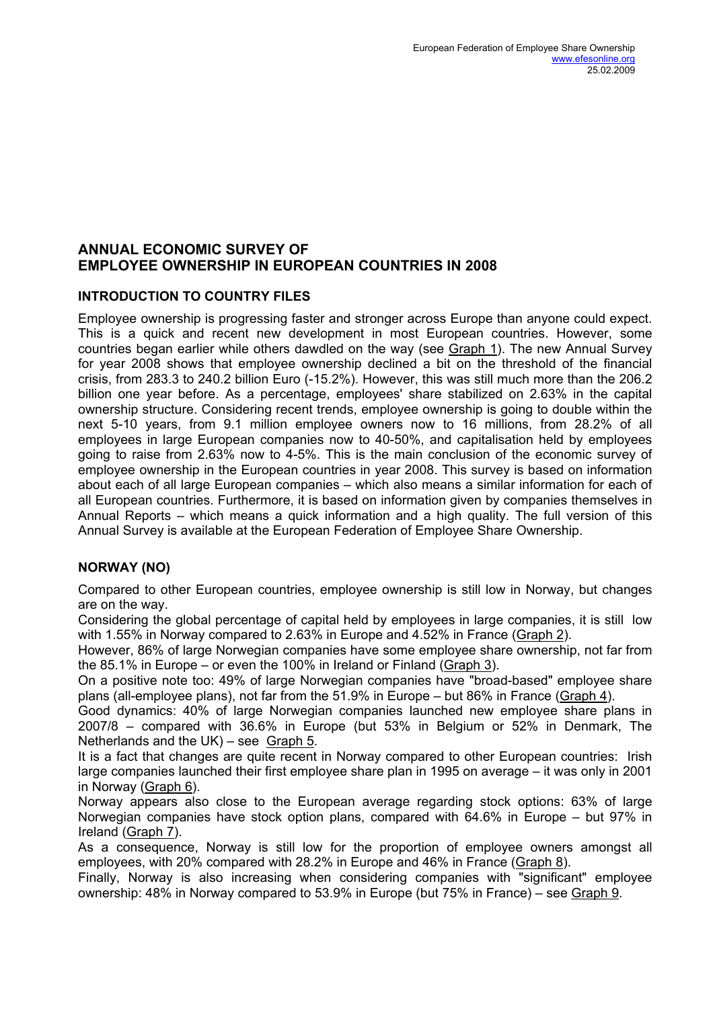## **ANNUAL ECONOMIC SURVEY OF EMPLOYEE OWNERSHIP IN EUROPEAN COUNTRIES IN 2008**

## **INTRODUCTION TO COUNTRY FILES**

Employee ownership is progressing faster and stronger across Europe than anyone could expect. This is a quick and recent new development in most European countries. However, some countries began earlier while others dawdled on the way (see Graph 1). The new Annual Survey for year 2008 shows that employee ownership declined a bit on the threshold of the financial crisis, from 283.3 to 240.2 billion Euro (-15.2%). However, this was still much more than the 206.2 billion one year before. As a percentage, employees' share stabilized on 2.63% in the capital ownership structure. Considering recent trends, employee ownership is going to double within the next 5-10 years, from 9.1 million employee owners now to 16 millions, from 28.2% of all employees in large European companies now to 40-50%, and capitalisation held by employees going to raise from 2.63% now to 4-5%. This is the main conclusion of the economic survey of employee ownership in the European countries in year 2008. This survey is based on information about each of all large European companies – which also means a similar information for each of all European countries. Furthermore, it is based on information given by companies themselves in Annual Reports – which means a quick information and a high quality. The full version of this Annual Survey is available at the European Federation of Employee Share Ownership.

## **NORWAY (NO)**

Compared to other European countries, employee ownership is still low in Norway, but changes are on the way.

Considering the global percentage of capital held by employees in large companies, it is still low with 1.55% in Norway compared to 2.63% in Europe and 4.52% in France (Graph 2).

However, 86% of large Norwegian companies have some employee share ownership, not far from the 85.1% in Europe – or even the 100% in Ireland or Finland (Graph 3).

On a positive note too: 49% of large Norwegian companies have "broad-based" employee share plans (all-employee plans), not far from the 51.9% in Europe – but 86% in France (Graph 4).

Good dynamics: 40% of large Norwegian companies launched new employee share plans in 2007/8 – compared with 36.6% in Europe (but 53% in Belgium or 52% in Denmark, The Netherlands and the UK) – see Graph 5.

It is a fact that changes are quite recent in Norway compared to other European countries: Irish large companies launched their first employee share plan in 1995 on average – it was only in 2001 in Norway (Graph 6).

Norway appears also close to the European average regarding stock options: 63% of large Norwegian companies have stock option plans, compared with 64.6% in Europe – but 97% in Ireland (Graph 7).

As a consequence, Norway is still low for the proportion of employee owners amongst all employees, with 20% compared with 28.2% in Europe and 46% in France (Graph 8).

Finally, Norway is also increasing when considering companies with "significant" employee ownership: 48% in Norway compared to 53.9% in Europe (but 75% in France) – see Graph 9.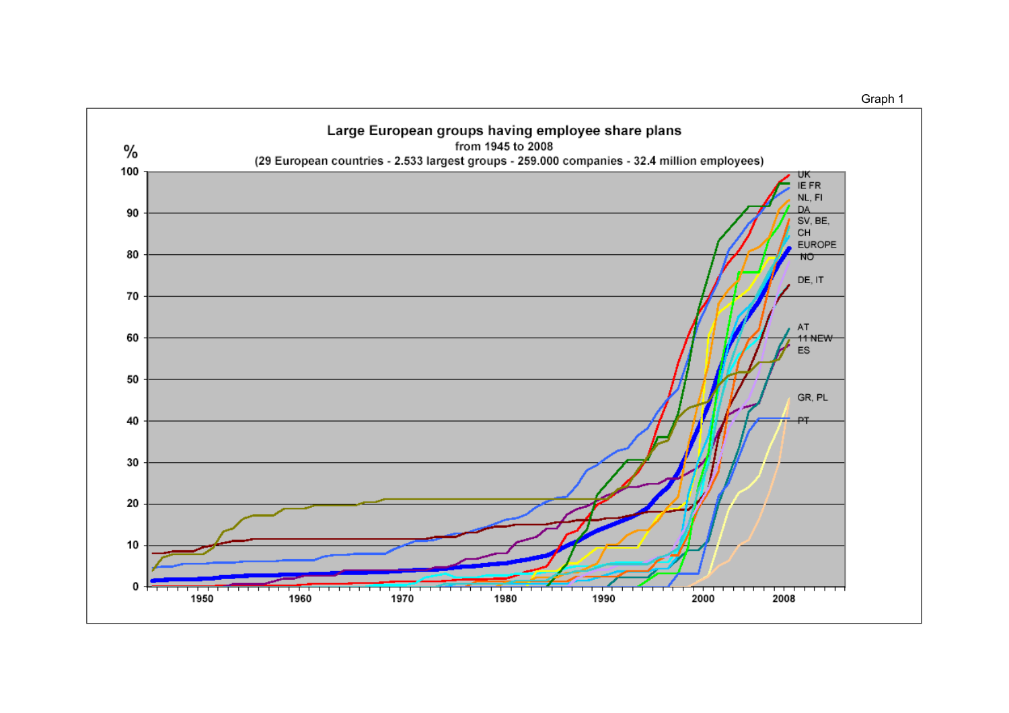

Graph 1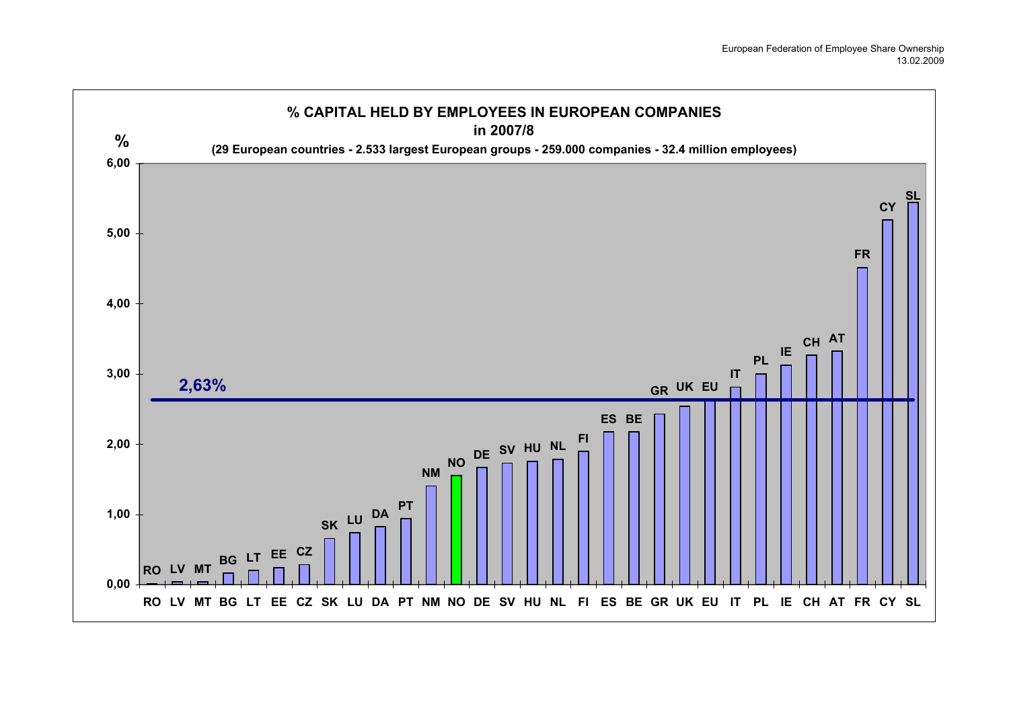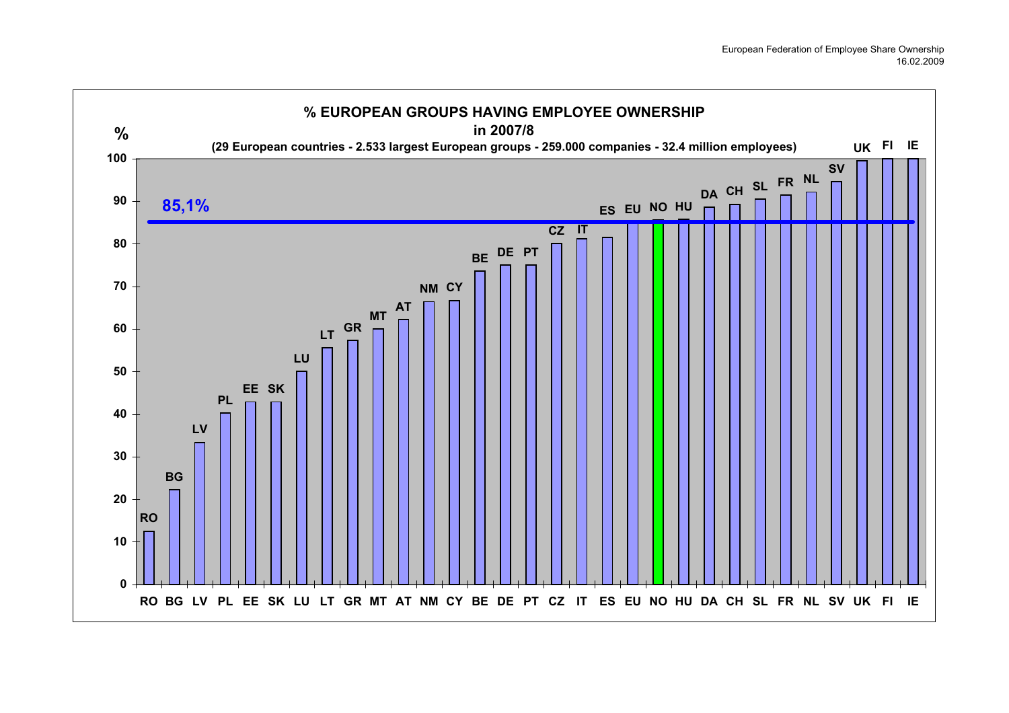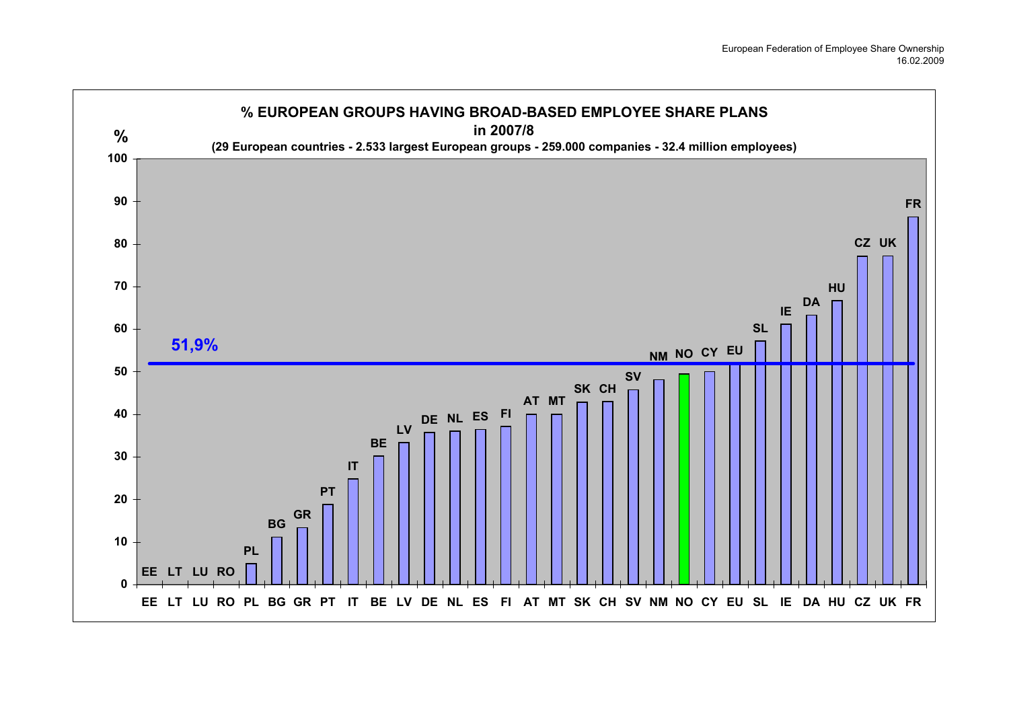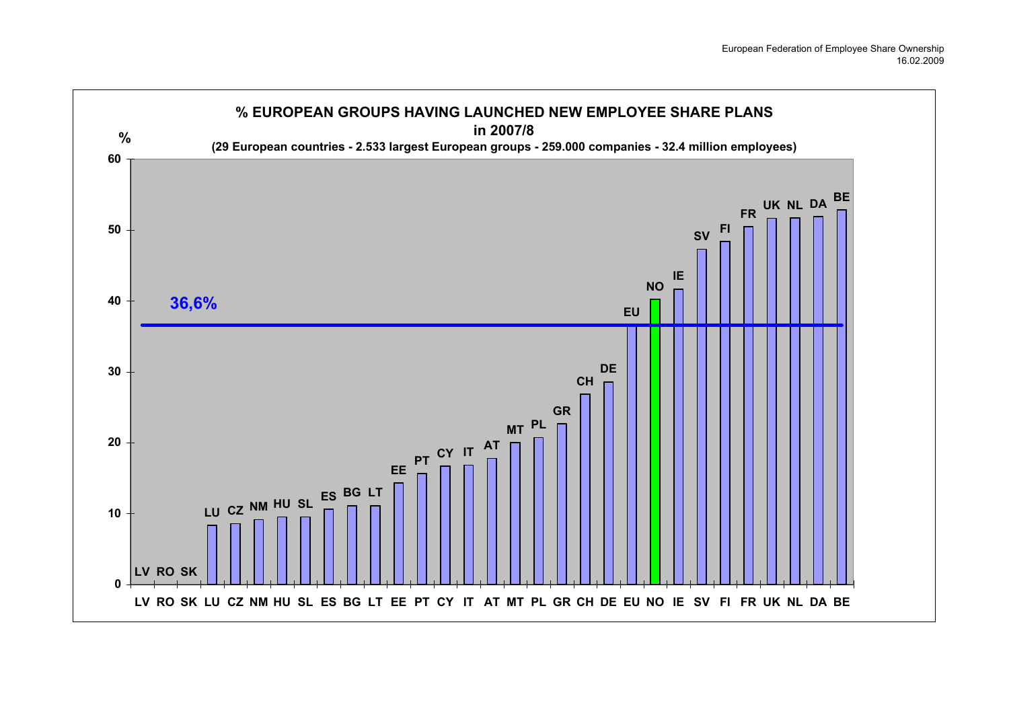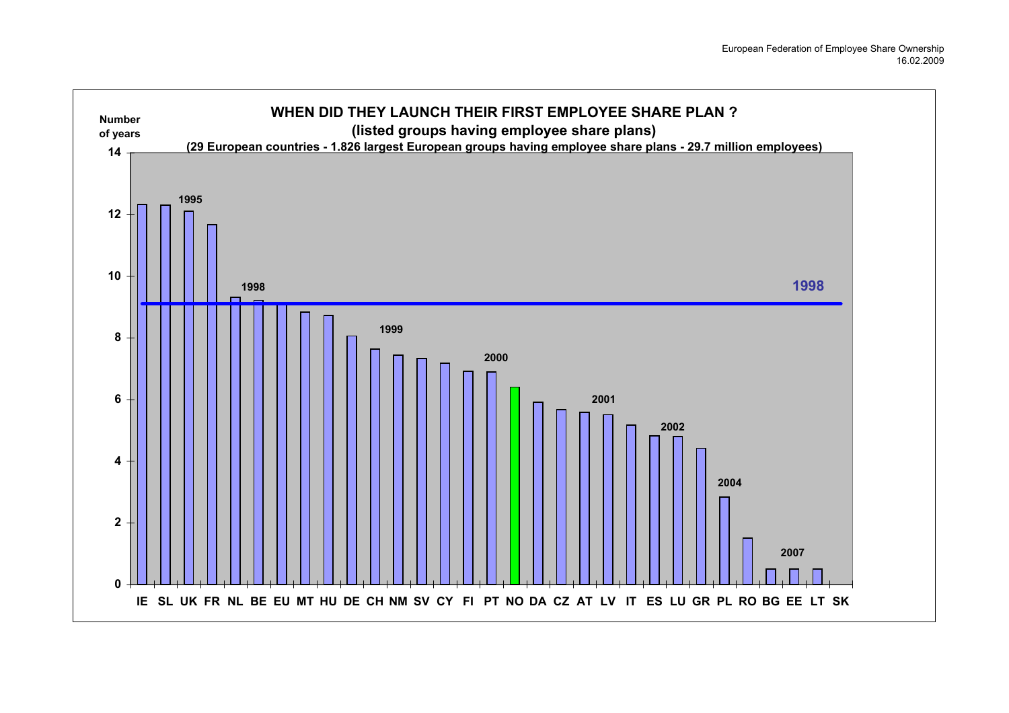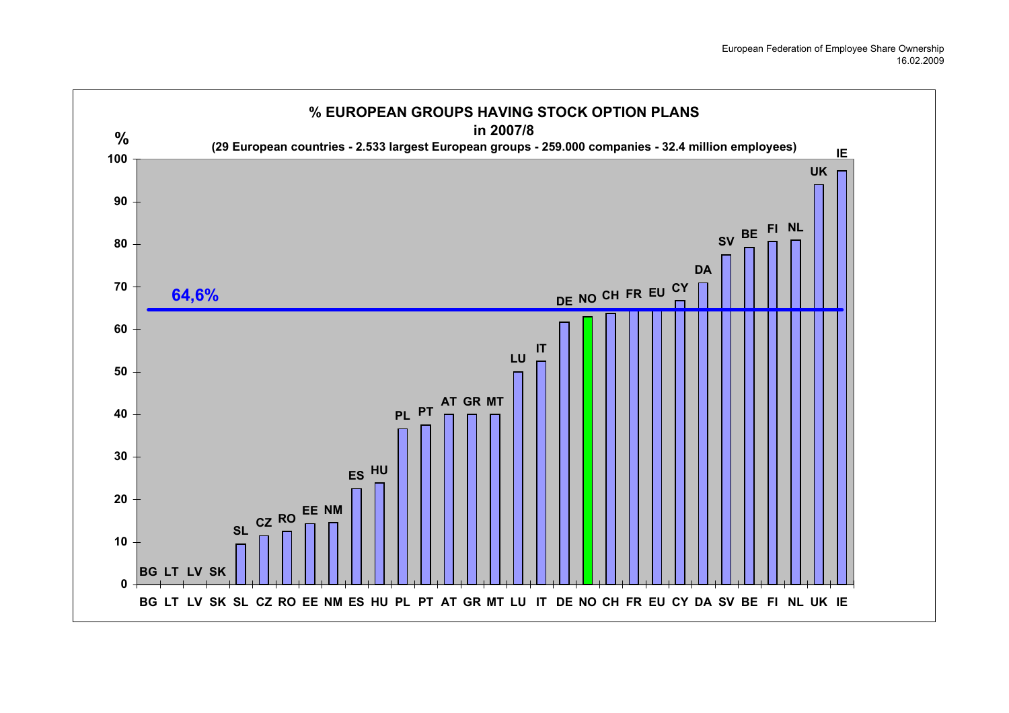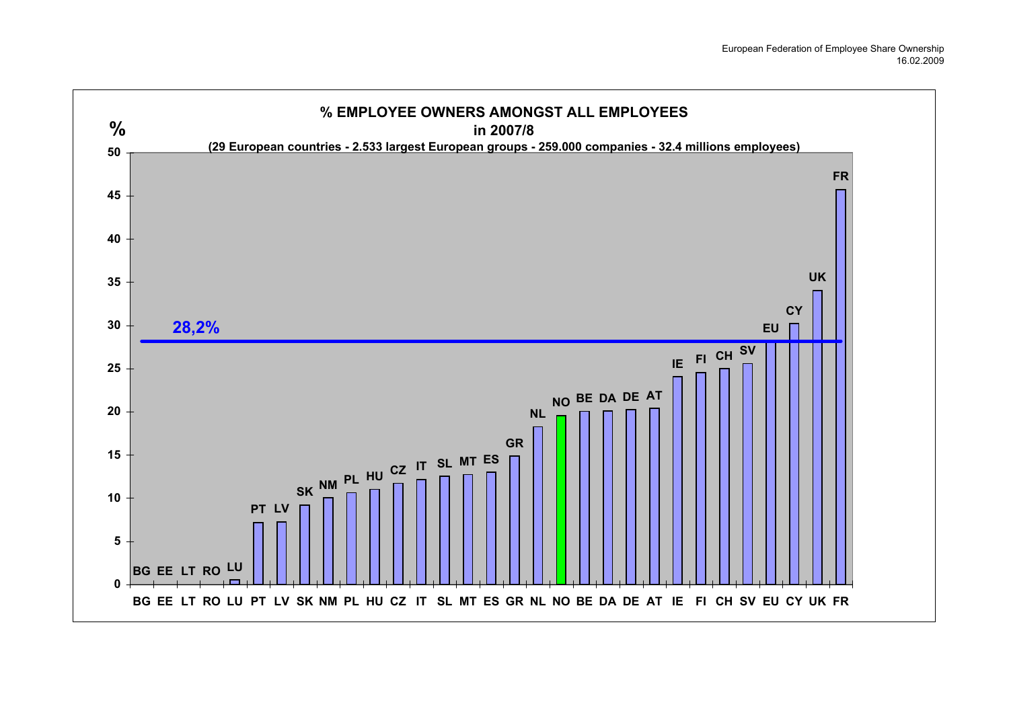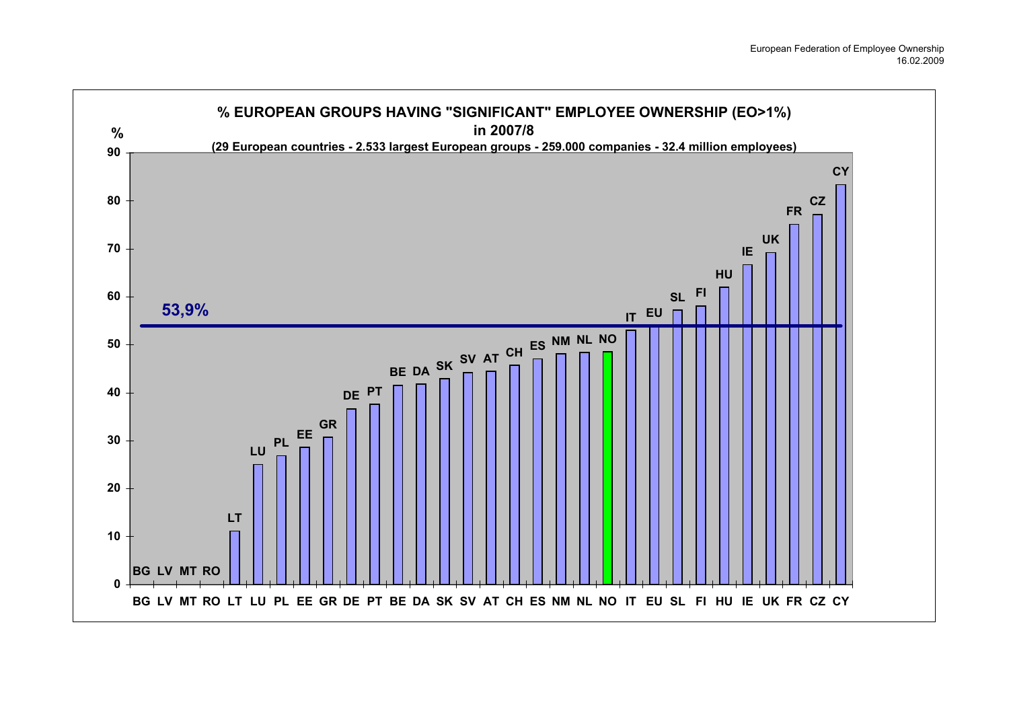